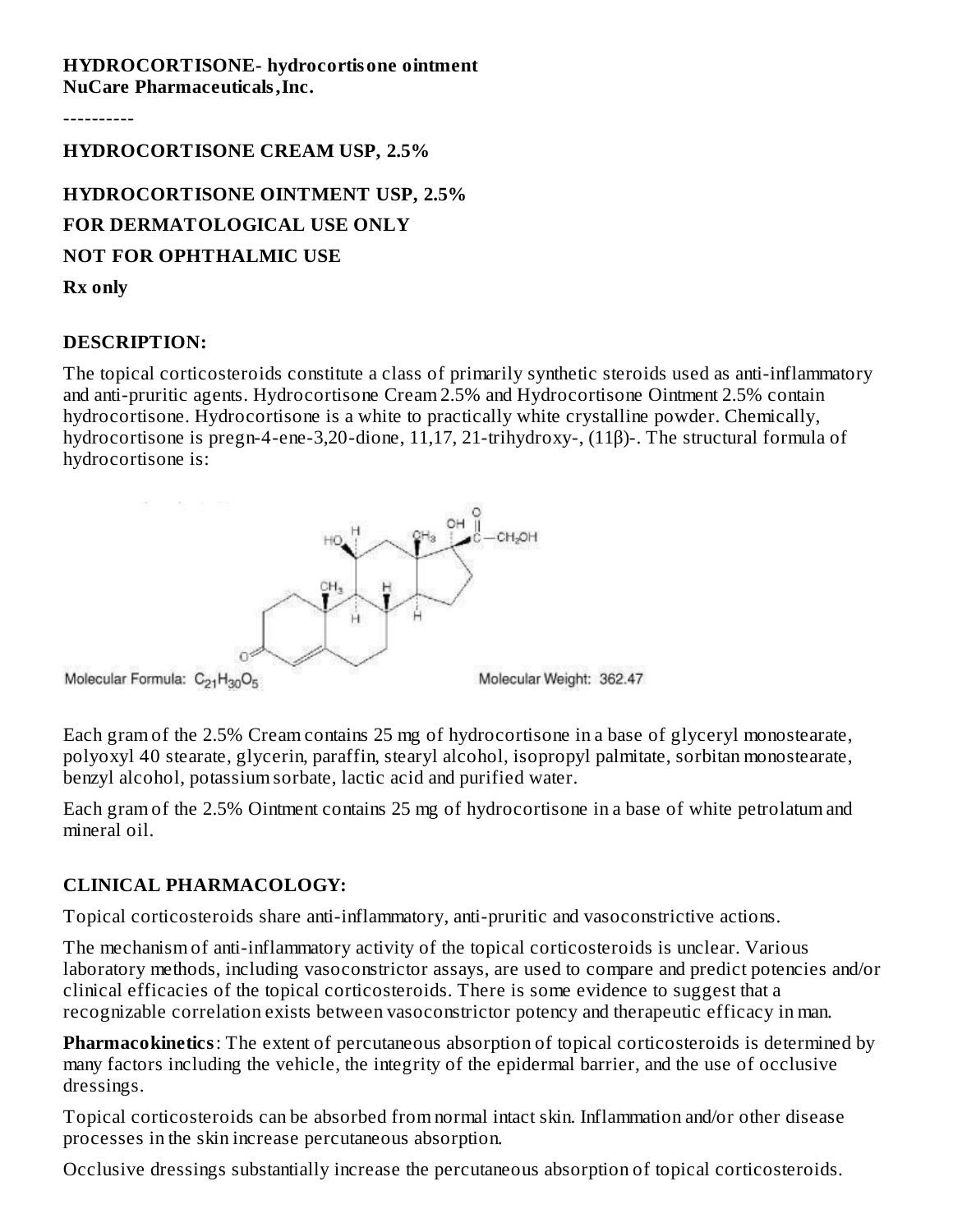**HYDROCORTISONE- hydrocortisone ointment NuCare Pharmaceuticals,Inc.**

----------

#### **HYDROCORTISONE CREAM USP, 2.5%**

**HYDROCORTISONE OINTMENT USP, 2.5% FOR DERMATOLOGICAL USE ONLY NOT FOR OPHTHALMIC USE Rx only**

#### **DESCRIPTION:**

The topical corticosteroids constitute a class of primarily synthetic steroids used as anti-inflammatory and anti-pruritic agents. Hydrocortisone Cream 2.5% and Hydrocortisone Ointment 2.5% contain hydrocortisone. Hydrocortisone is a white to practically white crystalline powder. Chemically, hydrocortisone is pregn-4-ene-3,20-dione, 11,17, 21-trihydroxy-, (11β)-. The structural formula of hydrocortisone is:



Each gram of the 2.5% Cream contains 25 mg of hydrocortisone in a base of glyceryl monostearate, polyoxyl 40 stearate, glycerin, paraffin, stearyl alcohol, isopropyl palmitate, sorbitan monostearate, benzyl alcohol, potassium sorbate, lactic acid and purified water.

Each gram of the 2.5% Ointment contains 25 mg of hydrocortisone in a base of white petrolatum and mineral oil.

#### **CLINICAL PHARMACOLOGY:**

Topical corticosteroids share anti-inflammatory, anti-pruritic and vasoconstrictive actions.

The mechanism of anti-inflammatory activity of the topical corticosteroids is unclear. Various laboratory methods, including vasoconstrictor assays, are used to compare and predict potencies and/or clinical efficacies of the topical corticosteroids. There is some evidence to suggest that a recognizable correlation exists between vasoconstrictor potency and therapeutic efficacy in man.

**Pharmacokinetics**: The extent of percutaneous absorption of topical corticosteroids is determined by many factors including the vehicle, the integrity of the epidermal barrier, and the use of occlusive dressings.

Topical corticosteroids can be absorbed from normal intact skin. Inflammation and/or other disease processes in the skin increase percutaneous absorption.

Occlusive dressings substantially increase the percutaneous absorption of topical corticosteroids.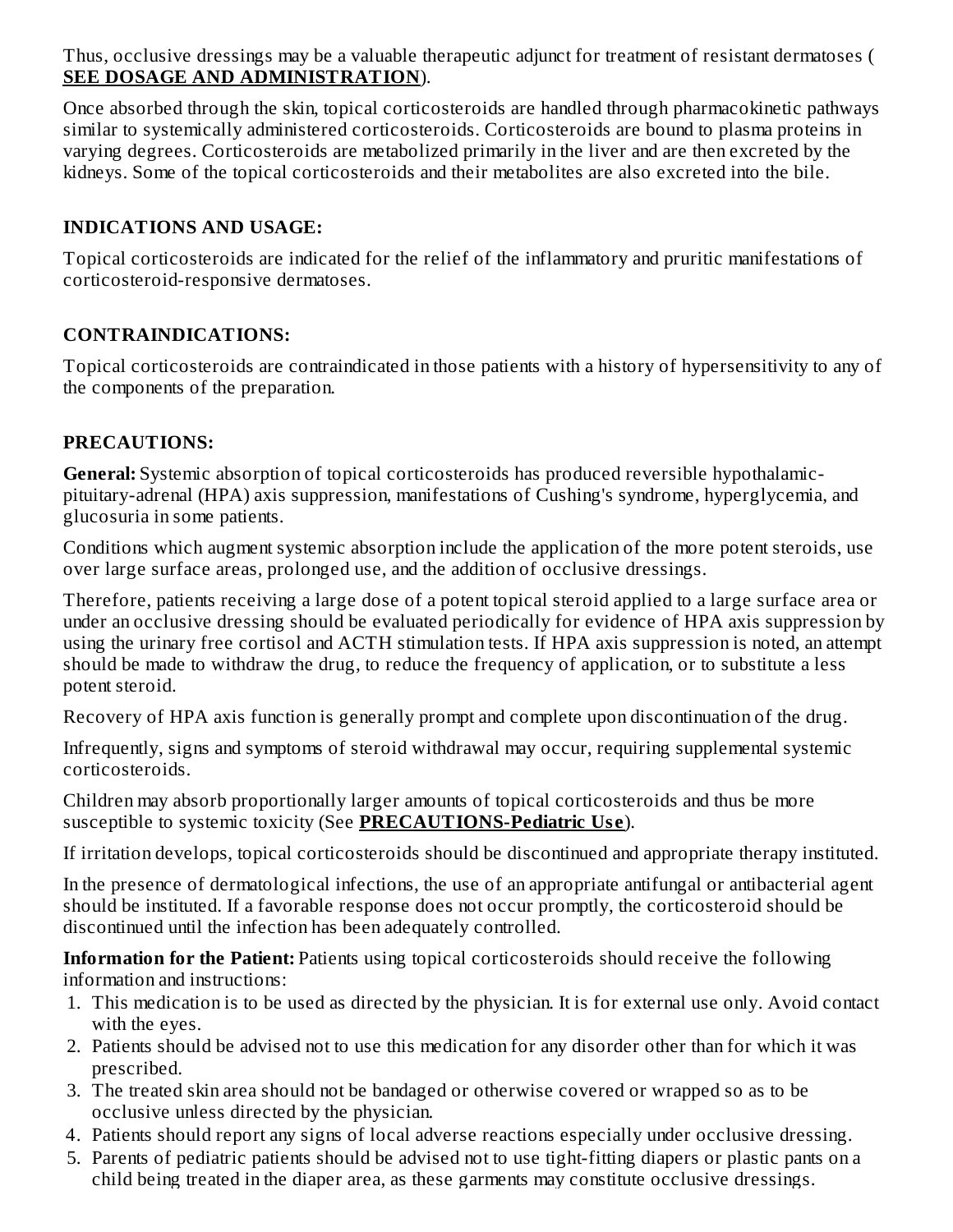Thus, occlusive dressings may be a valuable therapeutic adjunct for treatment of resistant dermatoses ( **SEE DOSAGE AND ADMINISTRATION**).

Once absorbed through the skin, topical corticosteroids are handled through pharmacokinetic pathways similar to systemically administered corticosteroids. Corticosteroids are bound to plasma proteins in varying degrees. Corticosteroids are metabolized primarily in the liver and are then excreted by the kidneys. Some of the topical corticosteroids and their metabolites are also excreted into the bile.

# **INDICATIONS AND USAGE:**

Topical corticosteroids are indicated for the relief of the inflammatory and pruritic manifestations of corticosteroid-responsive dermatoses.

# **CONTRAINDICATIONS:**

Topical corticosteroids are contraindicated in those patients with a history of hypersensitivity to any of the components of the preparation.

# **PRECAUTIONS:**

**General:** Systemic absorption of topical corticosteroids has produced reversible hypothalamicpituitary-adrenal (HPA) axis suppression, manifestations of Cushing's syndrome, hyperglycemia, and glucosuria in some patients.

Conditions which augment systemic absorption include the application of the more potent steroids, use over large surface areas, prolonged use, and the addition of occlusive dressings.

Therefore, patients receiving a large dose of a potent topical steroid applied to a large surface area or under an occlusive dressing should be evaluated periodically for evidence of HPA axis suppression by using the urinary free cortisol and ACTH stimulation tests. If HPA axis suppression is noted, an attempt should be made to withdraw the drug, to reduce the frequency of application, or to substitute a less potent steroid.

Recovery of HPA axis function is generally prompt and complete upon discontinuation of the drug.

Infrequently, signs and symptoms of steroid withdrawal may occur, requiring supplemental systemic corticosteroids.

Children may absorb proportionally larger amounts of topical corticosteroids and thus be more susceptible to systemic toxicity (See **PRECAUTIONS-Pediatric Us e**).

If irritation develops, topical corticosteroids should be discontinued and appropriate therapy instituted.

In the presence of dermatological infections, the use of an appropriate antifungal or antibacterial agent should be instituted. If a favorable response does not occur promptly, the corticosteroid should be discontinued until the infection has been adequately controlled.

**Information for the Patient:** Patients using topical corticosteroids should receive the following information and instructions:

- 1. This medication is to be used as directed by the physician. It is for external use only. Avoid contact with the eyes.
- 2. Patients should be advised not to use this medication for any disorder other than for which it was prescribed.
- 3. The treated skin area should not be bandaged or otherwise covered or wrapped so as to be occlusive unless directed by the physician.
- 4. Patients should report any signs of local adverse reactions especially under occlusive dressing.
- 5. Parents of pediatric patients should be advised not to use tight-fitting diapers or plastic pants on a child being treated in the diaper area, as these garments may constitute occlusive dressings.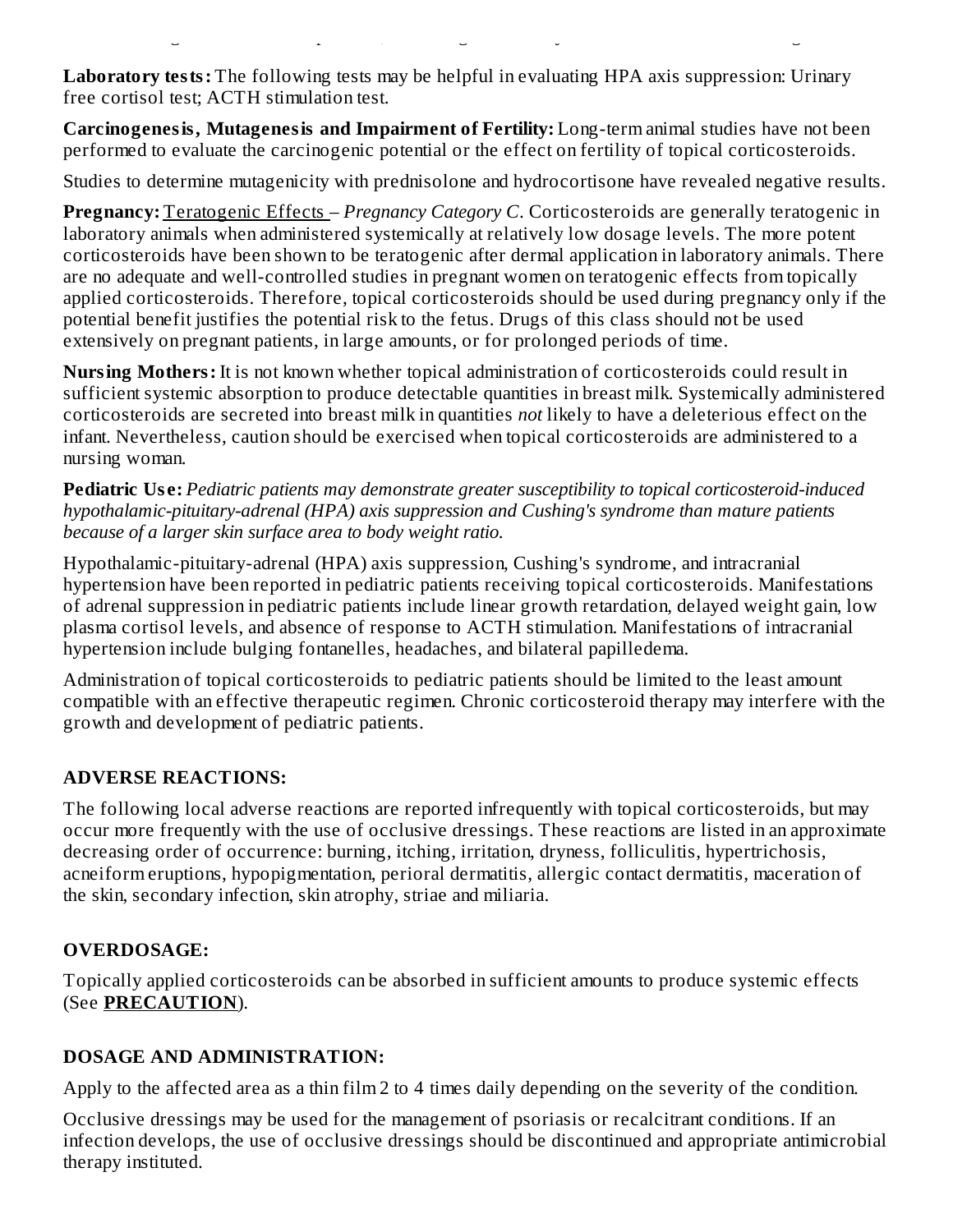**Laboratory tests:** The following tests may be helpful in evaluating HPA axis suppression: Urinary free cortisol test; ACTH stimulation test.

child being treated in the diaper area, as these garments may constitute occlusive dressings.

**Carcinogenesis, Mutagenesis and Impairment of Fertility:** Long-term animal studies have not been performed to evaluate the carcinogenic potential or the effect on fertility of topical corticosteroids.

Studies to determine mutagenicity with prednisolone and hydrocortisone have revealed negative results.

**Pregnancy:** Teratogenic Effects – *Pregnancy Category C*. Corticosteroids are generally teratogenic in laboratory animals when administered systemically at relatively low dosage levels. The more potent corticosteroids have been shown to be teratogenic after dermal application in laboratory animals. There are no adequate and well-controlled studies in pregnant women on teratogenic effects from topically applied corticosteroids. Therefore, topical corticosteroids should be used during pregnancy only if the potential benefit justifies the potential risk to the fetus. Drugs of this class should not be used extensively on pregnant patients, in large amounts, or for prolonged periods of time.

**Nursing Mothers:** It is not known whether topical administration of corticosteroids could result in sufficient systemic absorption to produce detectable quantities in breast milk. Systemically administered corticosteroids are secreted into breast milk in quantities *not* likely to have a deleterious effect on the infant. Nevertheless, caution should be exercised when topical corticosteroids are administered to a nursing woman.

**Pediatric Us e:** *Pediatric patients may demonstrate greater susceptibility to topical corticosteroid-induced hypothalamic-pituitary-adrenal (HPA) axis suppression and Cushing's syndrome than mature patients because of a larger skin surface area to body weight ratio.*

Hypothalamic-pituitary-adrenal (HPA) axis suppression, Cushing's syndrome, and intracranial hypertension have been reported in pediatric patients receiving topical corticosteroids. Manifestations of adrenal suppression in pediatric patients include linear growth retardation, delayed weight gain, low plasma cortisol levels, and absence of response to ACTH stimulation. Manifestations of intracranial hypertension include bulging fontanelles, headaches, and bilateral papilledema.

Administration of topical corticosteroids to pediatric patients should be limited to the least amount compatible with an effective therapeutic regimen. Chronic corticosteroid therapy may interfere with the growth and development of pediatric patients.

# **ADVERSE REACTIONS:**

The following local adverse reactions are reported infrequently with topical corticosteroids, but may occur more frequently with the use of occlusive dressings. These reactions are listed in an approximate decreasing order of occurrence: burning, itching, irritation, dryness, folliculitis, hypertrichosis, acneiform eruptions, hypopigmentation, perioral dermatitis, allergic contact dermatitis, maceration of the skin, secondary infection, skin atrophy, striae and miliaria.

#### **OVERDOSAGE:**

Topically applied corticosteroids can be absorbed in sufficient amounts to produce systemic effects (See **PRECAUTION**).

#### **DOSAGE AND ADMINISTRATION:**

Apply to the affected area as a thin film 2 to 4 times daily depending on the severity of the condition.

Occlusive dressings may be used for the management of psoriasis or recalcitrant conditions. If an infection develops, the use of occlusive dressings should be discontinued and appropriate antimicrobial therapy instituted.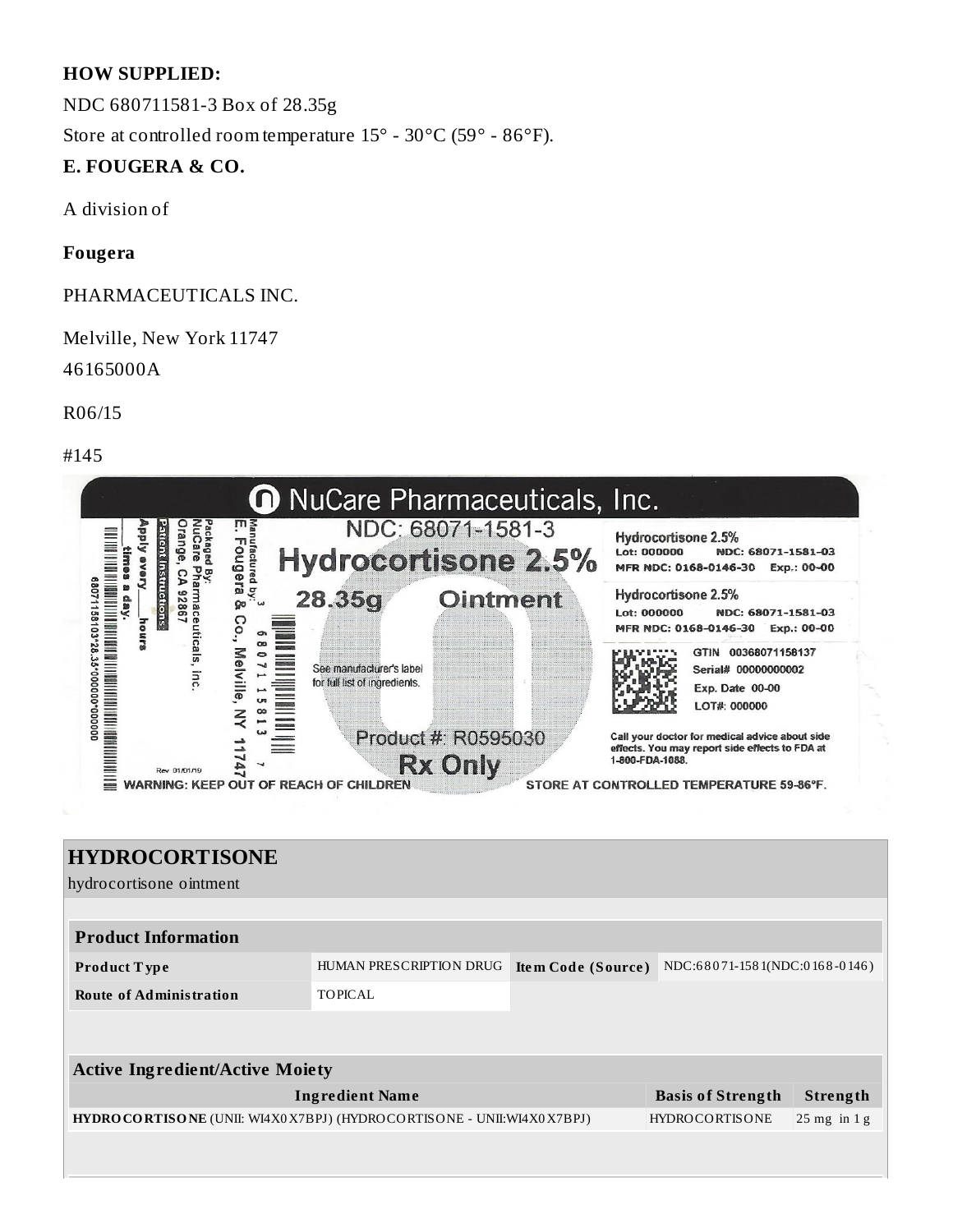# **HOW SUPPLIED:**

NDC 680711581-3 Box of 28.35g Store at controlled room temperature 15° - 30°C (59° - 86°F). **E. FOUGERA & CO.**

A division of

#### **Fougera**

PHARMACEUTICALS INC.

Melville, New York 11747 46165000A

R06/15

#145



| <b>HYDROCORTISONE</b>                                                    |                         |                    |                               |                |  |  |  |  |  |
|--------------------------------------------------------------------------|-------------------------|--------------------|-------------------------------|----------------|--|--|--|--|--|
| hydrocortisone ointment                                                  |                         |                    |                               |                |  |  |  |  |  |
|                                                                          |                         |                    |                               |                |  |  |  |  |  |
| <b>Product Information</b>                                               |                         |                    |                               |                |  |  |  |  |  |
| <b>Product Type</b>                                                      | HUMAN PRESCRIPTION DRUG | Item Code (Source) | NDC:68071-1581(NDC:0168-0146) |                |  |  |  |  |  |
| <b>Route of Administration</b>                                           | <b>TOPICAL</b>          |                    |                               |                |  |  |  |  |  |
|                                                                          |                         |                    |                               |                |  |  |  |  |  |
|                                                                          |                         |                    |                               |                |  |  |  |  |  |
| <b>Active Ingredient/Active Moiety</b>                                   |                         |                    |                               |                |  |  |  |  |  |
| <b>Ingredient Name</b>                                                   |                         |                    | <b>Basis of Strength</b>      | Strength       |  |  |  |  |  |
| HYDRO CORTISONE (UNII: WI4X0 X7BPJ) (HYDROCORTISONE - UNII: WI4X0 X7BPJ) |                         |                    | <b>HYDROCORTISONE</b>         | $25$ mg in 1 g |  |  |  |  |  |
|                                                                          |                         |                    |                               |                |  |  |  |  |  |
|                                                                          |                         |                    |                               |                |  |  |  |  |  |